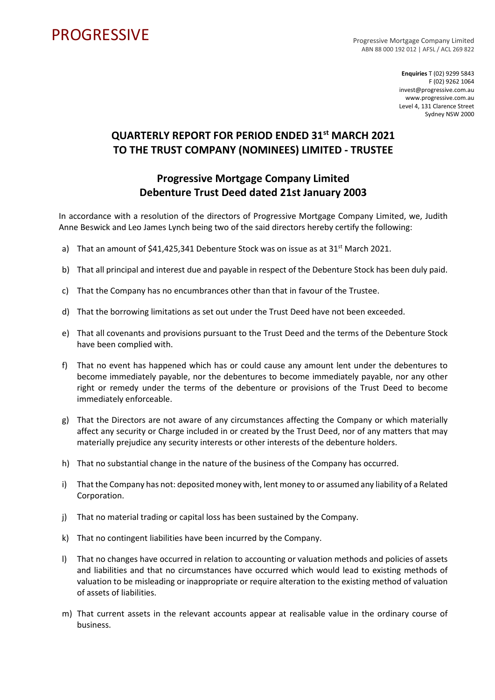## **PROGRESSIVE**

Progressive Mortgage Company Limited ABN 88 000 192 012 | AFSL / ACL 269 822

> **Enquiries** T (02) 9299 5843 F (02) 9262 1064 invest@progressive.com.au www.progressive.com.au Level 4, 131 Clarence Street Sydney NSW 2000

## **QUARTERLY REPORT FOR PERIOD ENDED 31st MARCH 2021 TO THE TRUST COMPANY (NOMINEES) LIMITED - TRUSTEE**

## **Progressive Mortgage Company Limited Debenture Trust Deed dated 21st January 2003**

In accordance with a resolution of the directors of Progressive Mortgage Company Limited, we, Judith Anne Beswick and Leo James Lynch being two of the said directors hereby certify the following:

- a) That an amount of \$41,425,341 Debenture Stock was on issue as at 31<sup>st</sup> March 2021.
- b) That all principal and interest due and payable in respect of the Debenture Stock has been duly paid.
- c) That the Company has no encumbrances other than that in favour of the Trustee.
- d) That the borrowing limitations as set out under the Trust Deed have not been exceeded.
- e) That all covenants and provisions pursuant to the Trust Deed and the terms of the Debenture Stock have been complied with.
- f) That no event has happened which has or could cause any amount lent under the debentures to become immediately payable, nor the debentures to become immediately payable, nor any other right or remedy under the terms of the debenture or provisions of the Trust Deed to become immediately enforceable.
- g) That the Directors are not aware of any circumstances affecting the Company or which materially affect any security or Charge included in or created by the Trust Deed, nor of any matters that may materially prejudice any security interests or other interests of the debenture holders.
- h) That no substantial change in the nature of the business of the Company has occurred.
- i) That the Company has not: deposited money with, lent money to or assumed any liability of a Related Corporation.
- j) That no material trading or capital loss has been sustained by the Company.
- k) That no contingent liabilities have been incurred by the Company.
- l) That no changes have occurred in relation to accounting or valuation methods and policies of assets and liabilities and that no circumstances have occurred which would lead to existing methods of valuation to be misleading or inappropriate or require alteration to the existing method of valuation of assets of liabilities.
- m) That current assets in the relevant accounts appear at realisable value in the ordinary course of business.